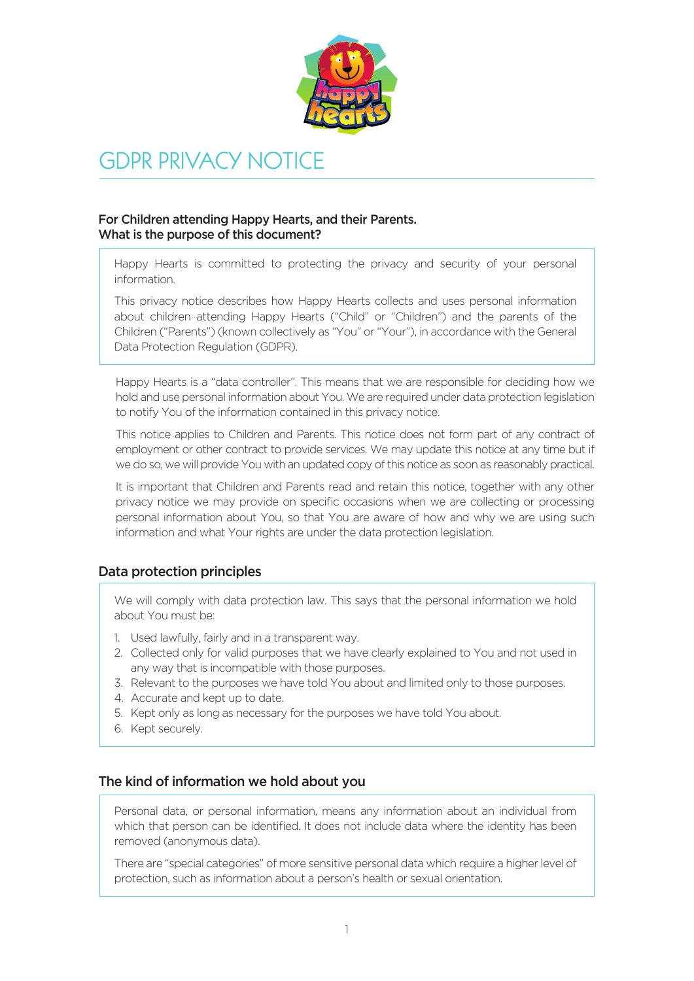

# GDPR PRIVACY NOTICE

# For Children attending Happy Hearts, and their Parents. What is the purpose of this document?

Happy Hearts is committed to protecting the privacy and security of your personal information.

This privacy notice describes how Happy Hearts collects and uses personal information about children attending Happy Hearts ("Child" or "Children") and the parents of the Children ("Parents") (known collectively as "You" or "Your"), in accordance with the General Data Protection Regulation (GDPR).

Happy Hearts is a "data controller". This means that we are responsible for deciding how we hold and use personal information about You. We are required under data protection legislation to notify You of the information contained in this privacy notice.

This notice applies to Children and Parents. This notice does not form part of any contract of employment or other contract to provide services. We may update this notice at any time but if we do so, we will provide You with an updated copy of this notice as soon as reasonably practical.

It is important that Children and Parents read and retain this notice, together with any other privacy notice we may provide on specific occasions when we are collecting or processing personal information about You, so that You are aware of how and why we are using such information and what Your rights are under the data protection legislation.

# Data protection principles

We will comply with data protection law. This says that the personal information we hold about You must be:

- 1. Used lawfully, fairly and in a transparent way.
- 2. Collected only for valid purposes that we have clearly explained to You and not used in any way that is incompatible with those purposes.
- 3. Relevant to the purposes we have told You about and limited only to those purposes.
- 4. Accurate and kept up to date.
- 5. Kept only as long as necessary for the purposes we have told You about.
- 6. Kept securely.

## The kind of information we hold about you

Personal data, or personal information, means any information about an individual from which that person can be identified. It does not include data where the identity has been removed (anonymous data).

There are "special categories" of more sensitive personal data which require a higher level of protection, such as information about a person's health or sexual orientation.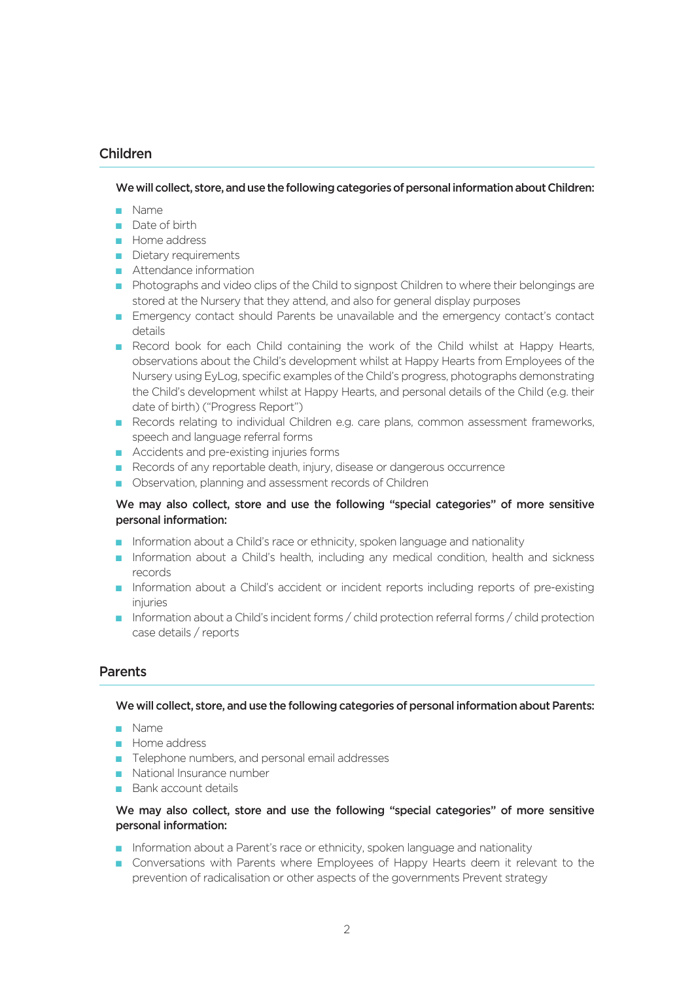# Children

We will collect, store, and use the following categories of personal information about Children:

- n Name
- Date of birth
- **n** Home address
- **n** Dietary requirements
- n Attendance information
- n Photographs and video clips of the Child to signpost Children to where their belongings are stored at the Nursery that they attend, and also for general display purposes
- n Emergency contact should Parents be unavailable and the emergency contact's contact details
- **n** Record book for each Child containing the work of the Child whilst at Happy Hearts, observations about the Child's development whilst at Happy Hearts from Employees of the Nursery using EyLog, specific examples of the Child's progress, photographs demonstrating the Child's development whilst at Happy Hearts, and personal details of the Child (e.g. their date of birth) ("Progress Report")
- n Records relating to individual Children e.g. care plans, common assessment frameworks, speech and language referral forms
- Accidents and pre-existing injuries forms
- Records of any reportable death, injury, disease or dangerous occurrence
- **n** Observation, planning and assessment records of Children

#### We may also collect, store and use the following "special categories" of more sensitive personal information:

- n Information about a Child's race or ethnicity, spoken language and nationality
- n Information about a Child's health, including any medical condition, health and sickness records
- n Information about a Child's accident or incident reports including reports of pre-existing injuries
- n Information about a Child's incident forms / child protection referral forms / child protection case details / reports

## **Parents**

#### We will collect, store, and use the following categories of personal information about Parents:

- n Name
- **n** Home address
- Telephone numbers, and personal email addresses
- n National Insurance number
- **n** Bank account details

#### We may also collect, store and use the following "special categories" of more sensitive personal information:

- n Information about a Parent's race or ethnicity, spoken language and nationality
- n Conversations with Parents where Employees of Happy Hearts deem it relevant to the prevention of radicalisation or other aspects of the governments Prevent strategy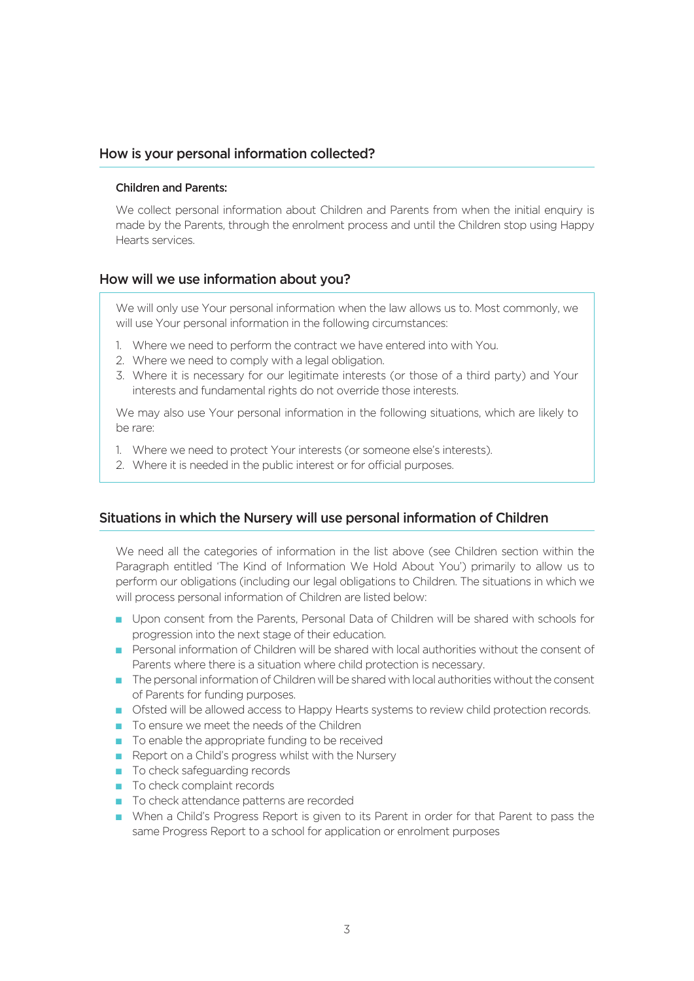## How is your personal information collected?

#### Children and Parents:

We collect personal information about Children and Parents from when the initial enquiry is made by the Parents, through the enrolment process and until the Children stop using Happy Hearts services.

## How will we use information about you?

We will only use Your personal information when the law allows us to. Most commonly, we will use Your personal information in the following circumstances:

- 1. Where we need to perform the contract we have entered into with You.
- 2. Where we need to comply with a legal obligation.
- 3. Where it is necessary for our legitimate interests (or those of a third party) and Your interests and fundamental rights do not override those interests.

We may also use Your personal information in the following situations, which are likely to be rare:

- 1. Where we need to protect Your interests (or someone else's interests).
- 2. Where it is needed in the public interest or for official purposes.

## Situations in which the Nursery will use personal information of Children

We need all the categories of information in the list above (see Children section within the Paragraph entitled 'The Kind of Information We Hold About You') primarily to allow us to perform our obligations (including our legal obligations to Children. The situations in which we will process personal information of Children are listed below:

- n Upon consent from the Parents, Personal Data of Children will be shared with schools for progression into the next stage of their education.
- n Personal information of Children will be shared with local authorities without the consent of Parents where there is a situation where child protection is necessary.
- n The personal information of Children will be shared with local authorities without the consent of Parents for funding purposes.
- n Ofsted will be allowed access to Happy Hearts systems to review child protection records.
- n To ensure we meet the needs of the Children
- $\blacksquare$  To enable the appropriate funding to be received
- $\blacksquare$  Report on a Child's progress whilst with the Nursery
- To check safeguarding records
- n To check complaint records
- To check attendance patterns are recorded
- n When a Child's Progress Report is given to its Parent in order for that Parent to pass the same Progress Report to a school for application or enrolment purposes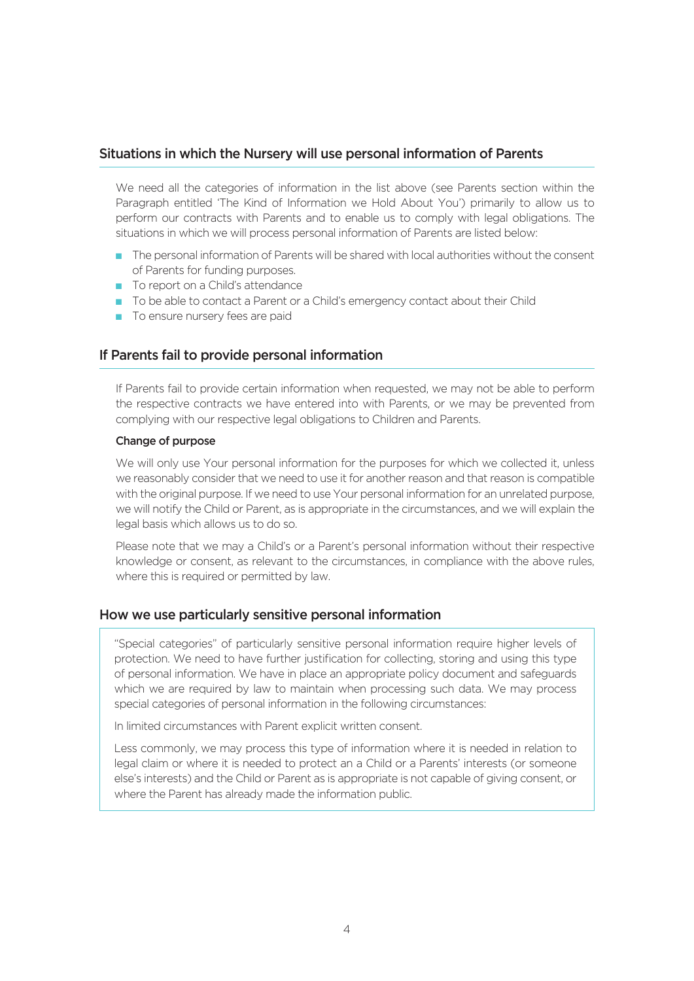## Situations in which the Nursery will use personal information of Parents

We need all the categories of information in the list above (see Parents section within the Paragraph entitled 'The Kind of Information we Hold About You') primarily to allow us to perform our contracts with Parents and to enable us to comply with legal obligations. The situations in which we will process personal information of Parents are listed below:

- n The personal information of Parents will be shared with local authorities without the consent of Parents for funding purposes.
- n To report on a Child's attendance
- n To be able to contact a Parent or a Child's emergency contact about their Child
- $\blacksquare$  To ensure nursery fees are paid

# If Parents fail to provide personal information

If Parents fail to provide certain information when requested, we may not be able to perform the respective contracts we have entered into with Parents, or we may be prevented from complying with our respective legal obligations to Children and Parents.

#### Change of purpose

We will only use Your personal information for the purposes for which we collected it, unless we reasonably consider that we need to use it for another reason and that reason is compatible with the original purpose. If we need to use Your personal information for an unrelated purpose, we will notify the Child or Parent, as is appropriate in the circumstances, and we will explain the legal basis which allows us to do so.

Please note that we may a Child's or a Parent's personal information without their respective knowledge or consent, as relevant to the circumstances, in compliance with the above rules, where this is required or permitted by law.

## How we use particularly sensitive personal information

"Special categories" of particularly sensitive personal information require higher levels of protection. We need to have further justification for collecting, storing and using this type of personal information. We have in place an appropriate policy document and safeguards which we are required by law to maintain when processing such data. We may process special categories of personal information in the following circumstances:

In limited circumstances with Parent explicit written consent.

Less commonly, we may process this type of information where it is needed in relation to legal claim or where it is needed to protect an a Child or a Parents' interests (or someone else's interests) and the Child or Parent as is appropriate is not capable of giving consent, or where the Parent has already made the information public.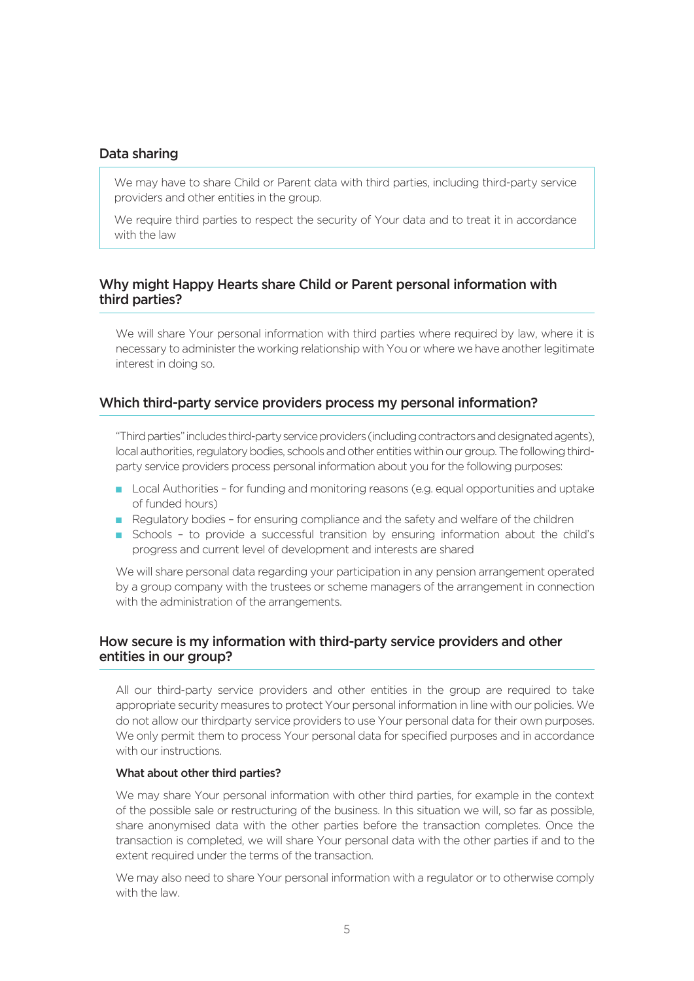## Data sharing

We may have to share Child or Parent data with third parties, including third-party service providers and other entities in the group.

We require third parties to respect the security of Your data and to treat it in accordance with the law

# Why might Happy Hearts share Child or Parent personal information with third parties?

We will share Your personal information with third parties where required by law, where it is necessary to administer the working relationship with You or where we have another legitimate interest in doing so.

#### Which third-party service providers process my personal information?

"Third parties" includes third-party service providers (including contractors and designated agents), local authorities, regulatory bodies, schools and other entities within our group. The following thirdparty service providers process personal information about you for the following purposes:

- **n** Local Authorities for funding and monitoring reasons (e.g. equal opportunities and uptake of funded hours)
- n Regulatory bodies for ensuring compliance and the safety and welfare of the children
- n Schools to provide a successful transition by ensuring information about the child's progress and current level of development and interests are shared

We will share personal data regarding your participation in any pension arrangement operated by a group company with the trustees or scheme managers of the arrangement in connection with the administration of the arrangements.

# How secure is my information with third-party service providers and other entities in our group?

All our third-party service providers and other entities in the group are required to take appropriate security measures to protect Your personal information in line with our policies. We do not allow our thirdparty service providers to use Your personal data for their own purposes. We only permit them to process Your personal data for specified purposes and in accordance with our instructions.

#### What about other third parties?

We may share Your personal information with other third parties, for example in the context of the possible sale or restructuring of the business. In this situation we will, so far as possible, share anonymised data with the other parties before the transaction completes. Once the transaction is completed, we will share Your personal data with the other parties if and to the extent required under the terms of the transaction.

We may also need to share Your personal information with a regulator or to otherwise comply with the law.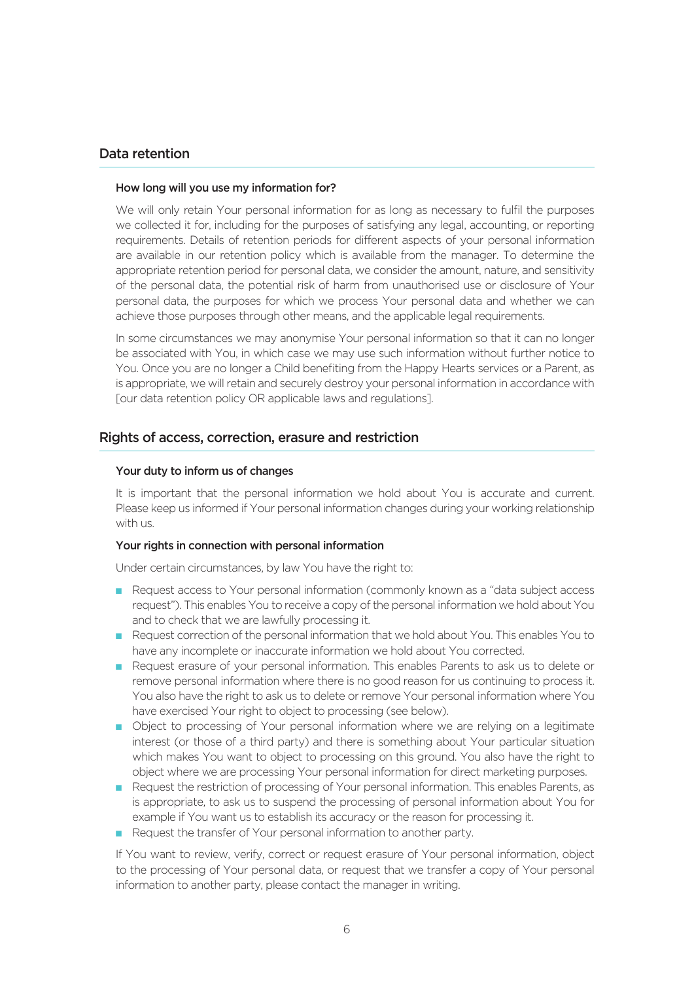## Data retention

#### How long will you use my information for?

We will only retain Your personal information for as long as necessary to fulfil the purposes we collected it for, including for the purposes of satisfying any legal, accounting, or reporting requirements. Details of retention periods for different aspects of your personal information are available in our retention policy which is available from the manager. To determine the appropriate retention period for personal data, we consider the amount, nature, and sensitivity of the personal data, the potential risk of harm from unauthorised use or disclosure of Your personal data, the purposes for which we process Your personal data and whether we can achieve those purposes through other means, and the applicable legal requirements.

In some circumstances we may anonymise Your personal information so that it can no longer be associated with You, in which case we may use such information without further notice to You. Once you are no longer a Child benefiting from the Happy Hearts services or a Parent, as is appropriate, we will retain and securely destroy your personal information in accordance with [our data retention policy OR applicable laws and regulations].

## Rights of access, correction, erasure and restriction

#### Your duty to inform us of changes

It is important that the personal information we hold about You is accurate and current. Please keep us informed if Your personal information changes during your working relationship with us.

#### Your rights in connection with personal information

Under certain circumstances, by law You have the right to:

- n Request access to Your personal information (commonly known as a "data subject access" request"). This enables You to receive a copy of the personal information we hold about You and to check that we are lawfully processing it.
- n Request correction of the personal information that we hold about You. This enables You to have any incomplete or inaccurate information we hold about You corrected.
- n Request erasure of your personal information. This enables Parents to ask us to delete or remove personal information where there is no good reason for us continuing to process it. You also have the right to ask us to delete or remove Your personal information where You have exercised Your right to object to processing (see below).
- n Object to processing of Your personal information where we are relying on a legitimate interest (or those of a third party) and there is something about Your particular situation which makes You want to object to processing on this ground. You also have the right to object where we are processing Your personal information for direct marketing purposes.
- n Request the restriction of processing of Your personal information. This enables Parents, as is appropriate, to ask us to suspend the processing of personal information about You for example if You want us to establish its accuracy or the reason for processing it.
- Request the transfer of Your personal information to another party.

If You want to review, verify, correct or request erasure of Your personal information, object to the processing of Your personal data, or request that we transfer a copy of Your personal information to another party, please contact the manager in writing.